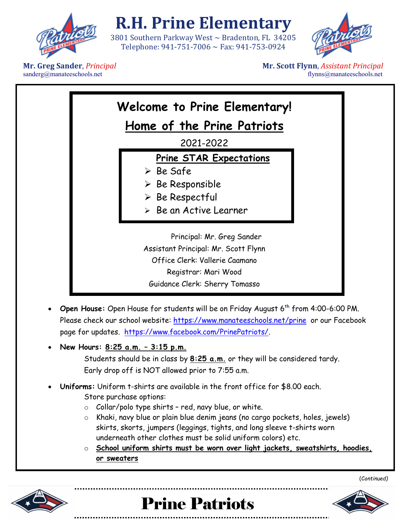

## **R.H. Prine Elementary**

3801 Southern Parkway West ~ Bradenton, FL 34205 Telephone: 941-751-7006 ~ Fax: 941-753-0924



 $sanderg@$ manateeschools.net

**Mr. Greg Sander**, *Principal* **Mr. Scott Flynn**, *Assistant Principal* sanderg@manateeschools.net flynns *amderg@manateeschools.net* 

| Welcome to Prine Elementary!                                                                                                                                             |  |  |  |
|--------------------------------------------------------------------------------------------------------------------------------------------------------------------------|--|--|--|
| Home of the Prine Patriots                                                                                                                                               |  |  |  |
| 2021-2022                                                                                                                                                                |  |  |  |
| <b>Prine STAR Expectations</b><br>$\triangleright$ Be Safe<br>$\triangleright$ Be Responsible<br>$\triangleright$ Be Respectful<br>$\triangleright$ Be an Active Learner |  |  |  |
| Principal: Mr. Greg Sander<br>Assistant Principal: Mr. Scott Flynn<br>Office Clerk: Vallerie Caamano<br>Registrar: Mari Wood<br>Guidance Clerk: Sherry Tomasso           |  |  |  |

- **Open House:** Open House for students will be on Friday August 6th from 4:00-6:00 PM. Please check our school website:<https://www.manateeschools.net/prine> or our Facebook page for updates. [https://www.facebook.com/PrinePatriots/.](https://www.facebook.com/PrinePatriots/)
- **New Hours: 8:25 a.m. – 3:15 p.m.**

Students should be in class by **8:25 a.m.** or they will be considered tardy. Early drop off is NOT allowed prior to 7:55 a.m.

- **Uniforms:** Uniform t-shirts are available in the front office for \$8.00 each. Store purchase options:
	- $\circ$  Collar/polo type shirts red, navy blue, or white.
	- o Khaki, navy blue or plain blue denim jeans (no cargo pockets, holes, jewels) skirts, skorts, jumpers (leggings, tights, and long sleeve t-shirts worn underneath other clothes must be solid uniform colors) etc.
	- o **School uniform shirts must be worn over light jackets, sweatshirts, hoodies, or sweaters**







(C*ontinued)*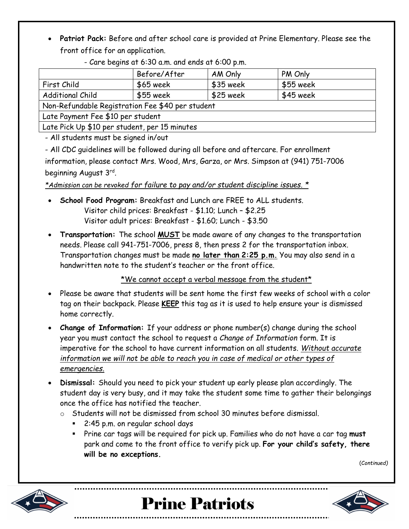• **Patriot Pack:** Before and after school care is provided at Prine Elementary. Please see the front office for an application.

|  | - Care begins at 6:30 a.m. and ends at 6:00 p.m. |  |
|--|--------------------------------------------------|--|
|--|--------------------------------------------------|--|

|                                                  | Before/After                                  | AM Only    | PM Only   |  |  |
|--------------------------------------------------|-----------------------------------------------|------------|-----------|--|--|
| First Child                                      | $$65$ week                                    | $$35$ week | \$55 week |  |  |
| <b>Additional Child</b>                          | \$55 week                                     | $$25$ week | \$45 week |  |  |
| Non-Refundable Registration Fee \$40 per student |                                               |            |           |  |  |
| Late Payment Fee \$10 per student                |                                               |            |           |  |  |
|                                                  | Late Pick Up \$10 per student, per 15 minutes |            |           |  |  |

- All students must be signed in/out

- All CDC guidelines will be followed during all before and aftercare. For enrollment

information, please contact Mrs. Wood, Mrs, Garza, or Mrs. Simpson at (941) 751-7006 beginning August 3rd.

*\*Admission can be revoked for failure to pay and/or student discipline issues. \**

- **School Food Program:** Breakfast and Lunch are FREE to ALL students. Visitor child prices: Breakfast - \$1.10; Lunch – \$2.25 Visitor adult prices: Breakfast - \$1.60; Lunch - \$3.50
- **Transportation:** The school **MUST** be made aware of any changes to the transportation needs. Please call 941-751-7006, press 8, then press 2 for the transportation inbox. Transportation changes must be made **no later than 2:25 p.m.** You may also send in a handwritten note to the student's teacher or the front office.

\*We cannot accept a verbal message from the student\*

- Please be aware that students will be sent home the first few weeks of school with a color tag on their backpack. Please **KEEP** this tag as it is used to help ensure your is dismissed home correctly.
- **Change of Information:** If your address or phone number(s) change during the school year you must contact the school to request a *Change of Information* form. It is imperative for the school to have current information on all students. *Without accurate information we will not be able to reach you in case of medical or other types of emergencies.*
- **Dismissal:** Should you need to pick your student up early please plan accordingly. The student day is very busy, and it may take the student some time to gather their belongings once the office has notified the teacher.
	- o Students will not be dismissed from school 30 minutes before dismissal.
		- 2:45 p.m. on regular school days
		- Prine car tags will be required for pick up. Families who do not have a car tag **must** park and come to the front office to verify pick up. **For your child's safety, there will be no exceptions.**

(C*ontinued)*